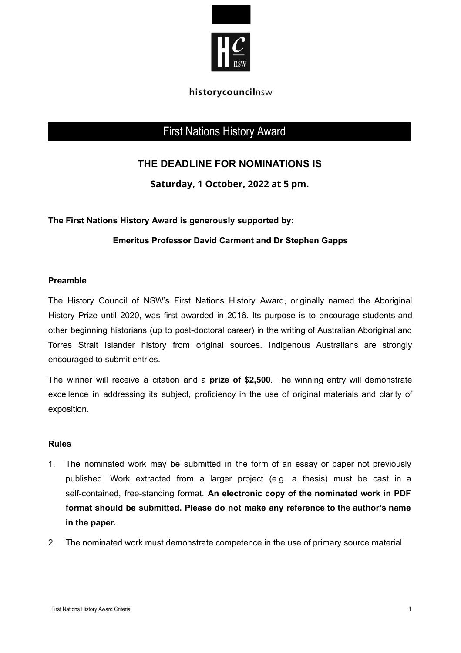

#### historycouncilnsw

# First Nations History Award

# **THE DEADLINE FOR NOMINATIONS IS**

**Saturday, 1 October, 2022 at 5 pm.**

**The First Nations History Award is generously supported by:**

## **Emeritus Professor David Carment and Dr Stephen Gapps**

#### **Preamble**

The History Council of NSW's First Nations History Award, originally named the Aboriginal History Prize until 2020, was first awarded in 2016. Its purpose is to encourage students and other beginning historians (up to post-doctoral career) in the writing of Australian Aboriginal and Torres Strait Islander history from original sources. Indigenous Australians are strongly encouraged to submit entries.

The winner will receive a citation and a **prize of \$2,500**. The winning entry will demonstrate excellence in addressing its subject, proficiency in the use of original materials and clarity of exposition.

#### **Rules**

- 1. The nominated work may be submitted in the form of an essay or paper not previously published. Work extracted from a larger project (e.g. a thesis) must be cast in a self-contained, free-standing format. **An electronic copy of the nominated work in PDF format should be submitted. Please do not make any reference to the author's name in the paper.**
- 2. The nominated work must demonstrate competence in the use of primary source material.